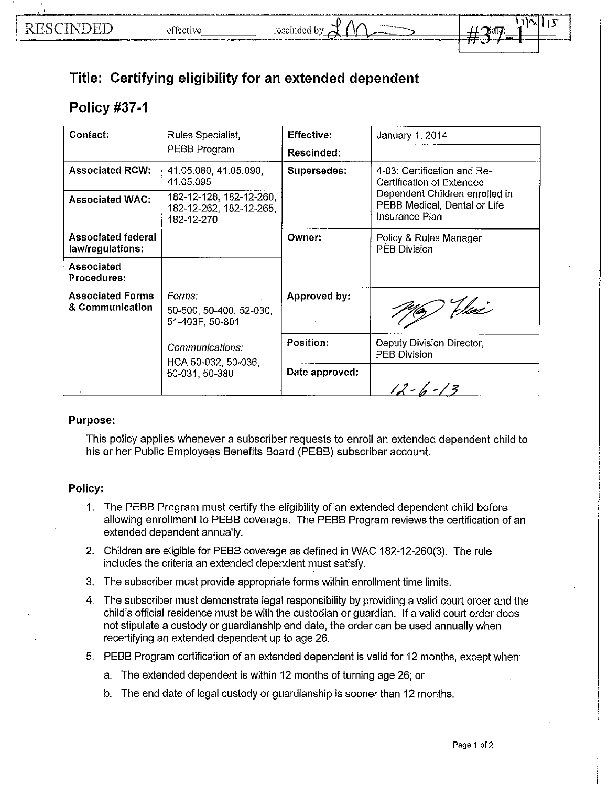## **Title: Certifying eligibility for an extended dependent**

## **Policy #37-1**

| Contact:                                   | Rules Specialist,<br>PEBB Program                                | <b>Effective:</b> | January 1, 2014                                                                                                                              |
|--------------------------------------------|------------------------------------------------------------------|-------------------|----------------------------------------------------------------------------------------------------------------------------------------------|
|                                            |                                                                  | Rescinded:        |                                                                                                                                              |
| <b>Associated RCW:</b>                     | 41.05.080, 41.05.090,<br>41.05.095                               | Supersedes:       | 4-03: Certification and Re-<br>Certification of Extended<br>Dependent Children enrolled in<br>PEBB Medical, Dental or Life<br>Insurance Plan |
| <b>Associated WAC:</b>                     | 182-12-128, 182-12-260,<br>182-12-262, 182-12-265,<br>182-12-270 |                   |                                                                                                                                              |
| Associated federal<br>law/regulations:     |                                                                  | Owner:            | Policy & Rules Manager<br><b>PEB Division</b>                                                                                                |
| Associated<br>Procedures:                  |                                                                  |                   |                                                                                                                                              |
| <b>Associated Forms</b><br>& Communication | Forms:<br>50-500, 50-400, 52-030,<br>51-403F, 50-801             | Approved by:      | 1967 Uni                                                                                                                                     |
|                                            | Communications:<br>HCA 50-032, 50-036,<br>50-031, 50-380         | Position:         | Deputy Division Director,<br><b>PEB Division</b>                                                                                             |
|                                            |                                                                  | Date approved:    | $12 - 6 - 13$                                                                                                                                |

## Purpose:

This policy applies whenever a subscriber requests to enroll an extended dependent child to his or her Public Employees Benefits Board (PEBB) subscriber account.

## Policy:

- 1. The PEBB Program must certify the eligibility of an extended dependent child before allowing enrollment to PEBB coverage. The PEBB Program reviews the certification of an extended dependent annually.
- 2. Children are eligible for PEBB coverage as defined in WAC 182-12-260(3). The rule includes the criteria an extended dependent must satisfy.
- 3. The subscriber must provide appropriate forms within enrollment time limits.
- 4. The subscriber must demonstrate legal responsibility by providing a valid court order and the child's official residence must be with the custodian or guardian. If a valid court order does not stipulate a custody or guardianship end date, the order can be used annually when recertifying an extended dependent up to age 26.
- 5. PEBB Program certification of an extended dependent is valid for 12 months, except when:
	- a. The extended dependent is within 12 months of turning age 26; or
	- b. The end date of legal custody or guardianship is sooner than 12 months.